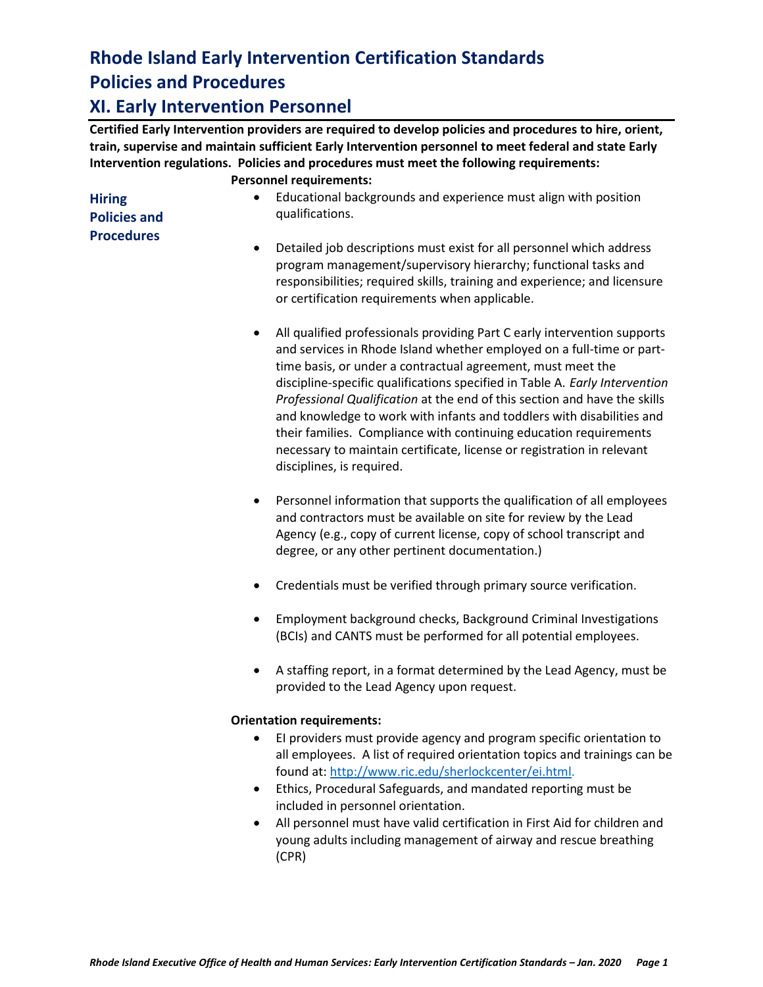# **Rhode Island Early Intervention Certification Standards Policies and Procedures**

#### **XI. Early Intervention Personnel**

**Certified Early Intervention providers are required to develop policies and procedures to hire, orient, train, supervise and maintain sufficient Early Intervention personnel to meet federal and state Early Intervention regulations. Policies and procedures must meet the following requirements: Personnel requirements:** 

| <b>Hiring</b>       | Educational backgrounds and experience must align with position                                                                                                                                                                                                                    |
|---------------------|------------------------------------------------------------------------------------------------------------------------------------------------------------------------------------------------------------------------------------------------------------------------------------|
| <b>Policies and</b> | qualifications.                                                                                                                                                                                                                                                                    |
| <b>Procedures</b>   | Detailed job descriptions must exist for all personnel which address<br>$\bullet$<br>program management/supervisory hierarchy; functional tasks and<br>responsibilities; required skills, training and experience; and licensure<br>or certification requirements when applicable. |

- All qualified professionals providing Part C early intervention supports and services in Rhode Island whether employed on a full-time or parttime basis, or under a contractual agreement, must meet the discipline-specific qualifications specified in Table A. *Early Intervention Professional Qualification* at the end of this section and have the skills and knowledge to work with infants and toddlers with disabilities and their families. Compliance with continuing education requirements necessary to maintain certificate, license or registration in relevant disciplines, is required.
- Personnel information that supports the qualification of all employees and contractors must be available on site for review by the Lead Agency (e.g., copy of current license, copy of school transcript and degree, or any other pertinent documentation.)
- Credentials must be verified through primary source verification.
- Employment background checks, Background Criminal Investigations (BCIs) and CANTS must be performed for all potential employees.
- A staffing report, in a format determined by the Lead Agency, must be provided to the Lead Agency upon request.

#### **Orientation requirements:**

- EI providers must provide agency and program specific orientation to all employees. A list of required orientation topics and trainings can be found at: [http://www.ric.edu/sherlockcenter/ei.html.](http://www.ric.edu/sherlockcenter/ei.html)
- Ethics, Procedural Safeguards, and mandated reporting must be included in personnel orientation.
- All personnel must have valid certification in First Aid for children and young adults including management of airway and rescue breathing (CPR)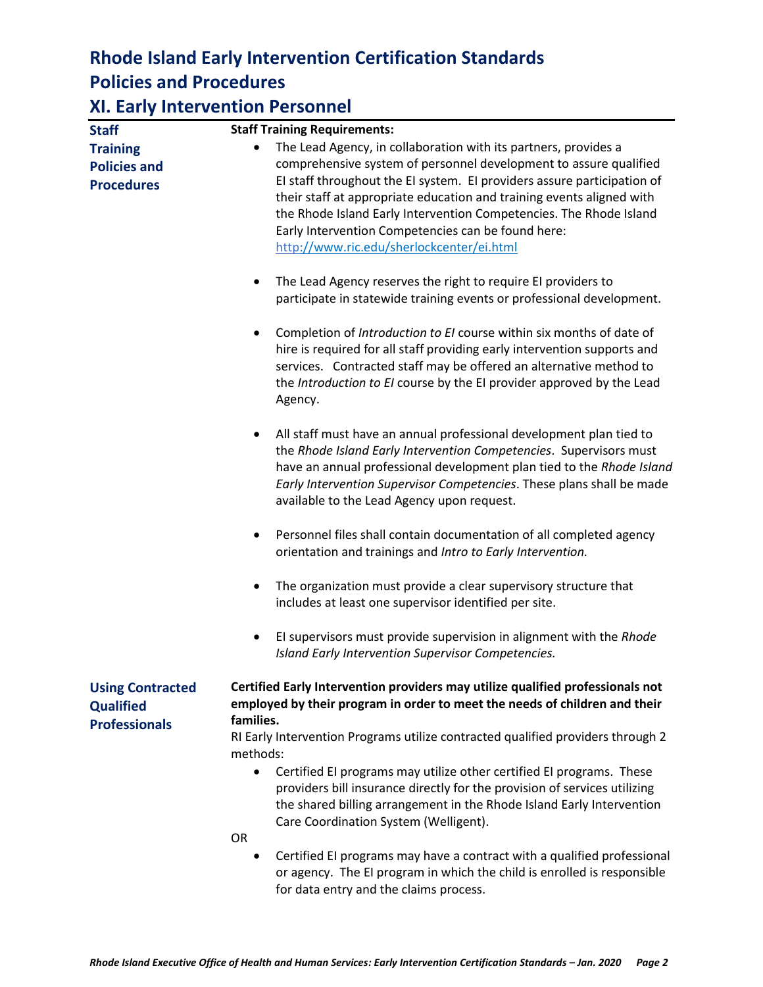## **Rhode Island Early Intervention Certification Standards Policies and Procedures**

### **XI. Early Intervention Personnel**

| <b>Staff</b>                                                        | <b>Staff Training Requirements:</b>                                                                                                                                                                                                                                                                                                                                                                                                                                                                                                                                |
|---------------------------------------------------------------------|--------------------------------------------------------------------------------------------------------------------------------------------------------------------------------------------------------------------------------------------------------------------------------------------------------------------------------------------------------------------------------------------------------------------------------------------------------------------------------------------------------------------------------------------------------------------|
| <b>Training</b><br><b>Policies and</b><br><b>Procedures</b>         | The Lead Agency, in collaboration with its partners, provides a<br>$\bullet$<br>comprehensive system of personnel development to assure qualified<br>EI staff throughout the EI system. EI providers assure participation of<br>their staff at appropriate education and training events aligned with<br>the Rhode Island Early Intervention Competencies. The Rhode Island<br>Early Intervention Competencies can be found here:<br>http://www.ric.edu/sherlockcenter/ei.html                                                                                     |
|                                                                     | The Lead Agency reserves the right to require EI providers to<br>$\bullet$<br>participate in statewide training events or professional development.                                                                                                                                                                                                                                                                                                                                                                                                                |
|                                                                     | Completion of Introduction to EI course within six months of date of<br>$\bullet$<br>hire is required for all staff providing early intervention supports and<br>services. Contracted staff may be offered an alternative method to<br>the Introduction to EI course by the EI provider approved by the Lead<br>Agency.                                                                                                                                                                                                                                            |
|                                                                     | All staff must have an annual professional development plan tied to<br>$\bullet$<br>the Rhode Island Early Intervention Competencies. Supervisors must<br>have an annual professional development plan tied to the Rhode Island<br>Early Intervention Supervisor Competencies. These plans shall be made<br>available to the Lead Agency upon request.                                                                                                                                                                                                             |
|                                                                     | Personnel files shall contain documentation of all completed agency<br>$\bullet$<br>orientation and trainings and Intro to Early Intervention.                                                                                                                                                                                                                                                                                                                                                                                                                     |
|                                                                     | The organization must provide a clear supervisory structure that<br>$\bullet$<br>includes at least one supervisor identified per site.                                                                                                                                                                                                                                                                                                                                                                                                                             |
|                                                                     | El supervisors must provide supervision in alignment with the Rhode<br>$\bullet$<br>Island Early Intervention Supervisor Competencies.                                                                                                                                                                                                                                                                                                                                                                                                                             |
| <b>Using Contracted</b><br><b>Qualified</b><br><b>Professionals</b> | Certified Early Intervention providers may utilize qualified professionals not<br>employed by their program in order to meet the needs of children and their<br>families.<br>RI Early Intervention Programs utilize contracted qualified providers through 2<br>methods:<br>Certified EI programs may utilize other certified EI programs. These<br>$\bullet$<br>providers bill insurance directly for the provision of services utilizing<br>the shared billing arrangement in the Rhode Island Early Intervention<br>Care Coordination System (Welligent).<br>OR |
|                                                                     | Certified EI programs may have a contract with a qualified professional<br>$\bullet$<br>or agency. The EI program in which the child is enrolled is responsible                                                                                                                                                                                                                                                                                                                                                                                                    |

for data entry and the claims process.